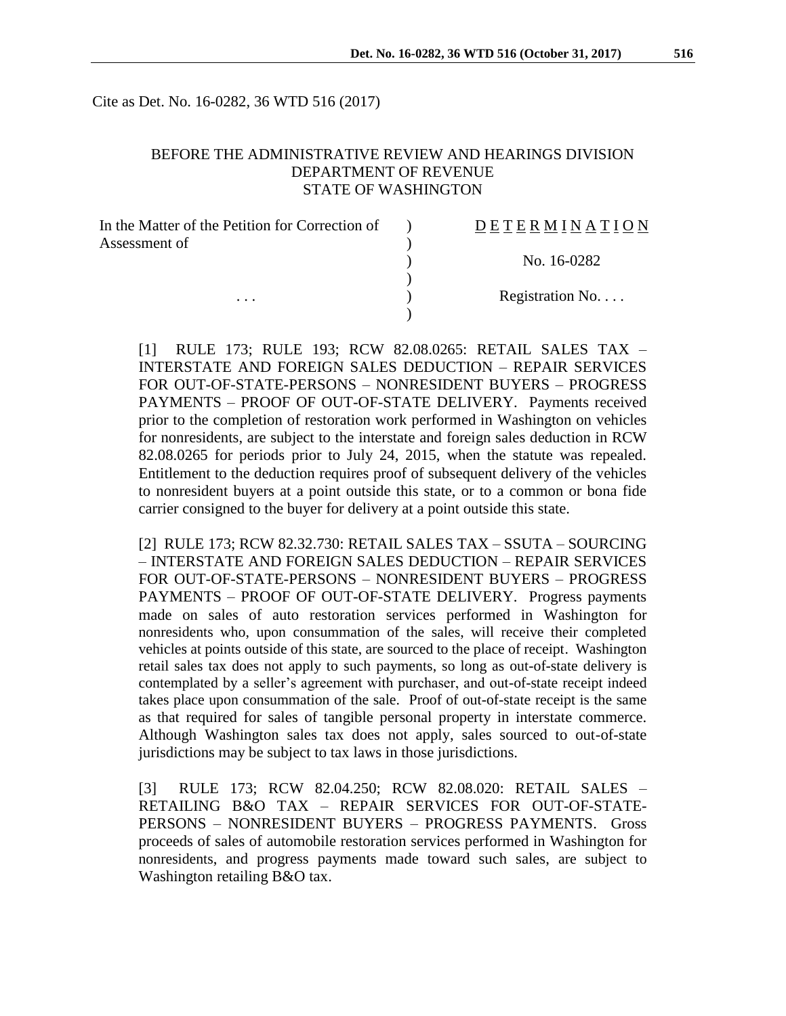Cite as Det. No. 16-0282, 36 WTD 516 (2017)

#### BEFORE THE ADMINISTRATIVE REVIEW AND HEARINGS DIVISION DEPARTMENT OF REVENUE STATE OF WASHINGTON

| In the Matter of the Petition for Correction of | DETERMINATION   |
|-------------------------------------------------|-----------------|
| Assessment of                                   |                 |
|                                                 | No. 16-0282     |
| $\cdots$                                        | Registration No |
|                                                 |                 |

[1] RULE 173; RULE 193; RCW 82.08.0265: RETAIL SALES TAX – INTERSTATE AND FOREIGN SALES DEDUCTION – REPAIR SERVICES FOR OUT-OF-STATE-PERSONS – NONRESIDENT BUYERS – PROGRESS PAYMENTS – PROOF OF OUT-OF-STATE DELIVERY. Payments received prior to the completion of restoration work performed in Washington on vehicles for nonresidents, are subject to the interstate and foreign sales deduction in RCW 82.08.0265 for periods prior to July 24, 2015, when the statute was repealed. Entitlement to the deduction requires proof of subsequent delivery of the vehicles to nonresident buyers at a point outside this state, or to a common or bona fide carrier consigned to the buyer for delivery at a point outside this state.

[2] RULE 173; RCW 82.32.730: RETAIL SALES TAX – SSUTA – SOURCING – INTERSTATE AND FOREIGN SALES DEDUCTION – REPAIR SERVICES FOR OUT-OF-STATE-PERSONS – NONRESIDENT BUYERS – PROGRESS PAYMENTS – PROOF OF OUT-OF-STATE DELIVERY. Progress payments made on sales of auto restoration services performed in Washington for nonresidents who, upon consummation of the sales, will receive their completed vehicles at points outside of this state, are sourced to the place of receipt. Washington retail sales tax does not apply to such payments, so long as out-of-state delivery is contemplated by a seller's agreement with purchaser, and out-of-state receipt indeed takes place upon consummation of the sale. Proof of out-of-state receipt is the same as that required for sales of tangible personal property in interstate commerce. Although Washington sales tax does not apply, sales sourced to out-of-state jurisdictions may be subject to tax laws in those jurisdictions.

[3] RULE 173; RCW 82.04.250; RCW 82.08.020: RETAIL SALES – RETAILING B&O TAX – REPAIR SERVICES FOR OUT-OF-STATE-PERSONS – NONRESIDENT BUYERS – PROGRESS PAYMENTS. Gross proceeds of sales of automobile restoration services performed in Washington for nonresidents, and progress payments made toward such sales, are subject to Washington retailing B&O tax.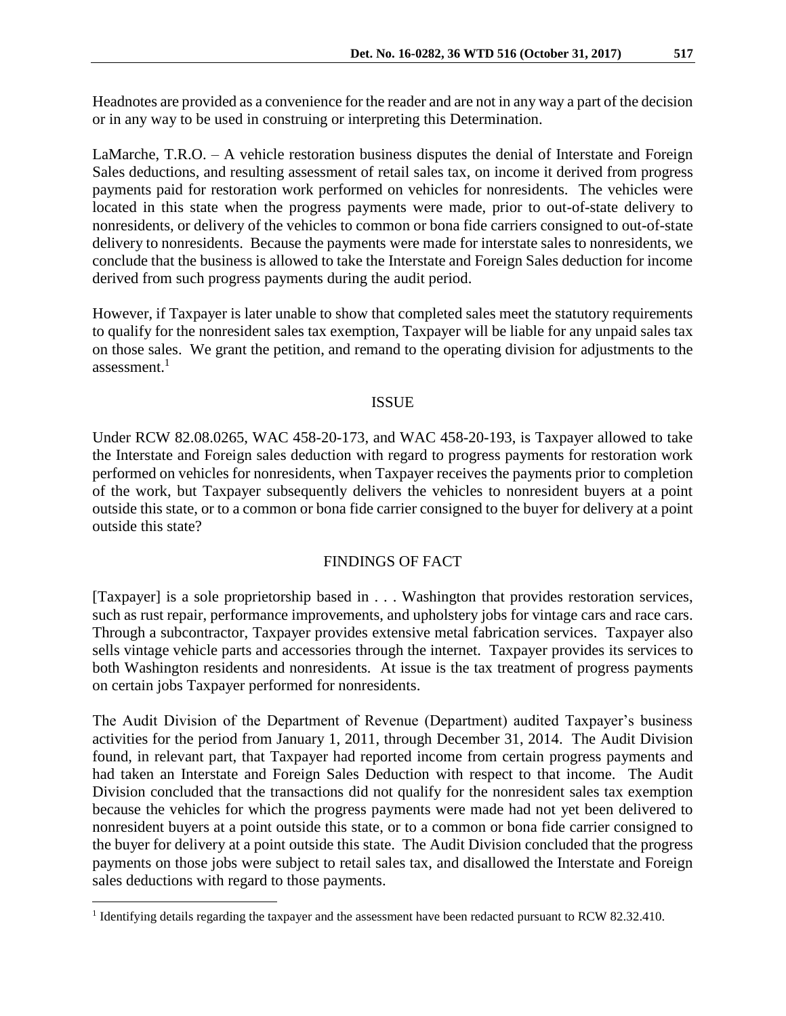Headnotes are provided as a convenience for the reader and are not in any way a part of the decision or in any way to be used in construing or interpreting this Determination.

LaMarche, T.R.O. – A vehicle restoration business disputes the denial of Interstate and Foreign Sales deductions, and resulting assessment of retail sales tax, on income it derived from progress payments paid for restoration work performed on vehicles for nonresidents. The vehicles were located in this state when the progress payments were made, prior to out-of-state delivery to nonresidents, or delivery of the vehicles to common or bona fide carriers consigned to out-of-state delivery to nonresidents. Because the payments were made for interstate sales to nonresidents, we conclude that the business is allowed to take the Interstate and Foreign Sales deduction for income derived from such progress payments during the audit period.

However, if Taxpayer is later unable to show that completed sales meet the statutory requirements to qualify for the nonresident sales tax exemption, Taxpayer will be liable for any unpaid sales tax on those sales. We grant the petition, and remand to the operating division for adjustments to the assessment. 1

#### ISSUE

Under RCW 82.08.0265, WAC 458-20-173, and WAC 458-20-193, is Taxpayer allowed to take the Interstate and Foreign sales deduction with regard to progress payments for restoration work performed on vehicles for nonresidents, when Taxpayer receives the payments prior to completion of the work, but Taxpayer subsequently delivers the vehicles to nonresident buyers at a point outside this state, or to a common or bona fide carrier consigned to the buyer for delivery at a point outside this state?

## FINDINGS OF FACT

[Taxpayer] is a sole proprietorship based in . . . Washington that provides restoration services, such as rust repair, performance improvements, and upholstery jobs for vintage cars and race cars. Through a subcontractor, Taxpayer provides extensive metal fabrication services. Taxpayer also sells vintage vehicle parts and accessories through the internet. Taxpayer provides its services to both Washington residents and nonresidents. At issue is the tax treatment of progress payments on certain jobs Taxpayer performed for nonresidents.

The Audit Division of the Department of Revenue (Department) audited Taxpayer's business activities for the period from January 1, 2011, through December 31, 2014. The Audit Division found, in relevant part, that Taxpayer had reported income from certain progress payments and had taken an Interstate and Foreign Sales Deduction with respect to that income. The Audit Division concluded that the transactions did not qualify for the nonresident sales tax exemption because the vehicles for which the progress payments were made had not yet been delivered to nonresident buyers at a point outside this state, or to a common or bona fide carrier consigned to the buyer for delivery at a point outside this state. The Audit Division concluded that the progress payments on those jobs were subject to retail sales tax, and disallowed the Interstate and Foreign sales deductions with regard to those payments.

 $\overline{a}$ 

<sup>&</sup>lt;sup>1</sup> Identifying details regarding the taxpayer and the assessment have been redacted pursuant to RCW 82.32.410.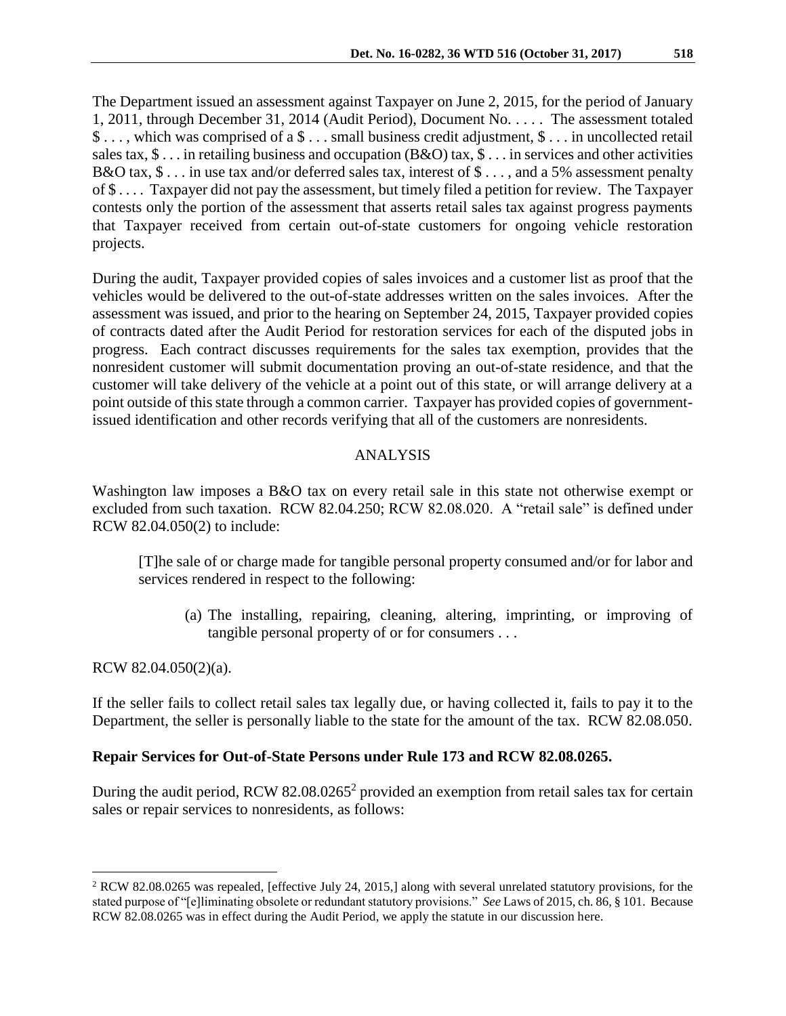The Department issued an assessment against Taxpayer on June 2, 2015, for the period of January 1, 2011, through December 31, 2014 (Audit Period), Document No. . . . . The assessment totaled \$ . . . , which was comprised of a \$ . . . small business credit adjustment, \$ . . . in uncollected retail sales tax, \$ . . . in retailing business and occupation (B&O) tax, \$ . . . in services and other activities B&O tax, \$ . . . in use tax and/or deferred sales tax, interest of \$ . . . , and a 5% assessment penalty of \$ . . . . Taxpayer did not pay the assessment, but timely filed a petition for review. The Taxpayer contests only the portion of the assessment that asserts retail sales tax against progress payments that Taxpayer received from certain out-of-state customers for ongoing vehicle restoration projects.

During the audit, Taxpayer provided copies of sales invoices and a customer list as proof that the vehicles would be delivered to the out-of-state addresses written on the sales invoices. After the assessment was issued, and prior to the hearing on September 24, 2015, Taxpayer provided copies of contracts dated after the Audit Period for restoration services for each of the disputed jobs in progress. Each contract discusses requirements for the sales tax exemption, provides that the nonresident customer will submit documentation proving an out-of-state residence, and that the customer will take delivery of the vehicle at a point out of this state, or will arrange delivery at a point outside of this state through a common carrier. Taxpayer has provided copies of governmentissued identification and other records verifying that all of the customers are nonresidents.

# ANALYSIS

Washington law imposes a B&O tax on every retail sale in this state not otherwise exempt or excluded from such taxation. RCW 82.04.250; RCW 82.08.020. A "retail sale" is defined under RCW 82.04.050(2) to include:

[T]he sale of or charge made for tangible personal property consumed and/or for labor and services rendered in respect to the following:

(a) The installing, repairing, cleaning, altering, imprinting, or improving of tangible personal property of or for consumers . . .

## RCW 82.04.050(2)(a).

 $\overline{a}$ 

If the seller fails to collect retail sales tax legally due, or having collected it, fails to pay it to the Department, the seller is personally liable to the state for the amount of the tax. RCW 82.08.050.

## **Repair Services for Out-of-State Persons under Rule 173 and RCW 82.08.0265.**

During the audit period, RCW 82.08.0265<sup>2</sup> provided an exemption from retail sales tax for certain sales or repair services to nonresidents, as follows:

<sup>2</sup> RCW 82.08.0265 was repealed, [effective July 24, 2015,] along with several unrelated statutory provisions, for the stated purpose of "[e]liminating obsolete or redundant statutory provisions." *See* Laws of 2015, ch. 86, § 101. Because RCW 82.08.0265 was in effect during the Audit Period, we apply the statute in our discussion here.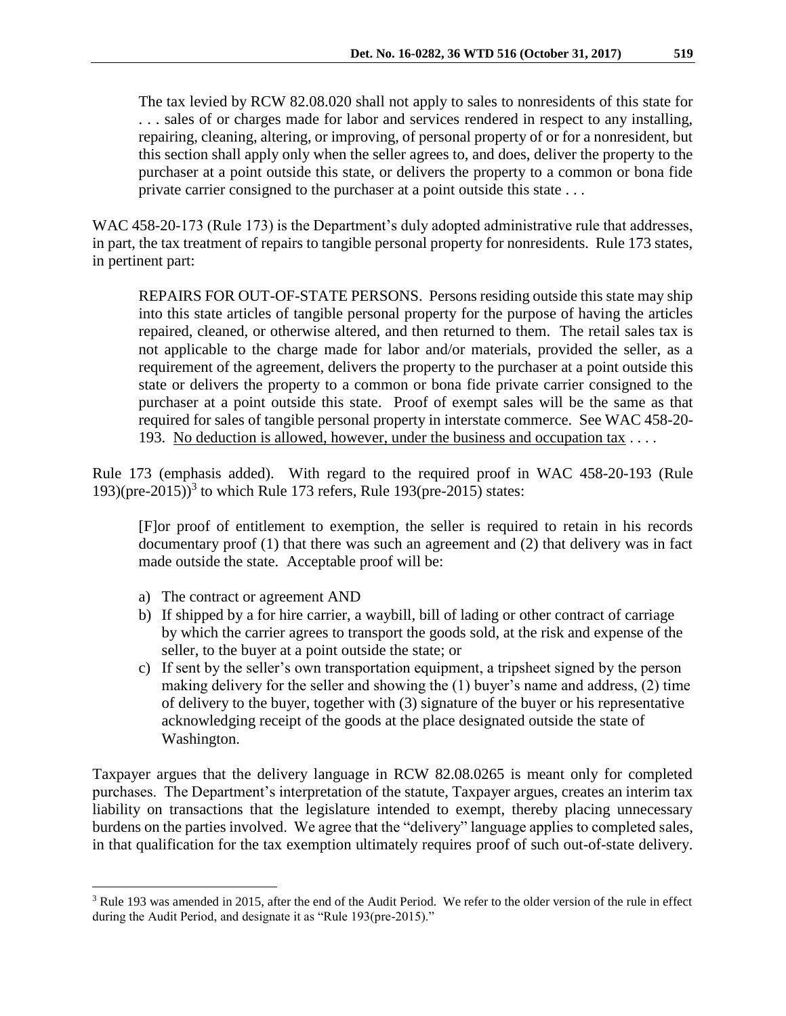The tax levied by RCW 82.08.020 shall not apply to sales to nonresidents of this state for . . . sales of or charges made for labor and services rendered in respect to any installing, repairing, cleaning, altering, or improving, of personal property of or for a nonresident, but this section shall apply only when the seller agrees to, and does, deliver the property to the purchaser at a point outside this state, or delivers the property to a common or bona fide private carrier consigned to the purchaser at a point outside this state . . .

WAC 458-20-173 (Rule 173) is the Department's duly adopted administrative rule that addresses, in part, the tax treatment of repairs to tangible personal property for nonresidents. Rule 173 states, in pertinent part:

REPAIRS FOR OUT-OF-STATE PERSONS. Persons residing outside this state may ship into this state articles of tangible personal property for the purpose of having the articles repaired, cleaned, or otherwise altered, and then returned to them. The retail sales tax is not applicable to the charge made for labor and/or materials, provided the seller, as a requirement of the agreement, delivers the property to the purchaser at a point outside this state or delivers the property to a common or bona fide private carrier consigned to the purchaser at a point outside this state. Proof of exempt sales will be the same as that required for sales of tangible personal property in interstate commerce. See WAC 458-20- 193. No deduction is allowed, however, under the business and occupation tax . . . .

Rule 173 (emphasis added). With regard to the required proof in WAC 458-20-193 (Rule 193)(pre-2015)) 3 to which Rule 173 refers, Rule 193(pre-2015) states:

[F]or proof of entitlement to exemption, the seller is required to retain in his records documentary proof (1) that there was such an agreement and (2) that delivery was in fact made outside the state. Acceptable proof will be:

a) The contract or agreement AND

 $\overline{a}$ 

- b) If shipped by a for hire carrier, a waybill, bill of lading or other contract of carriage by which the carrier agrees to transport the goods sold, at the risk and expense of the seller, to the buyer at a point outside the state; or
- c) If sent by the seller's own transportation equipment, a tripsheet signed by the person making delivery for the seller and showing the (1) buyer's name and address, (2) time of delivery to the buyer, together with (3) signature of the buyer or his representative acknowledging receipt of the goods at the place designated outside the state of Washington.

Taxpayer argues that the delivery language in RCW 82.08.0265 is meant only for completed purchases. The Department's interpretation of the statute, Taxpayer argues, creates an interim tax liability on transactions that the legislature intended to exempt, thereby placing unnecessary burdens on the parties involved. We agree that the "delivery" language applies to completed sales, in that qualification for the tax exemption ultimately requires proof of such out-of-state delivery.

<sup>&</sup>lt;sup>3</sup> Rule 193 was amended in 2015, after the end of the Audit Period. We refer to the older version of the rule in effect during the Audit Period, and designate it as "Rule 193(pre-2015)."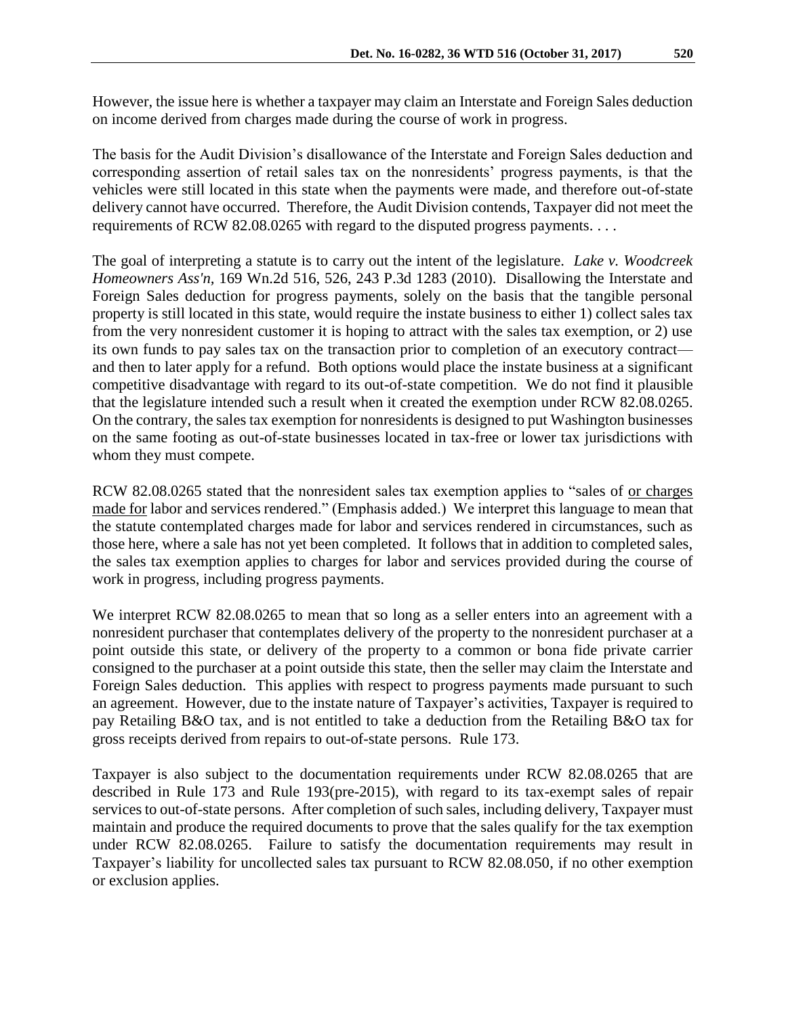However, the issue here is whether a taxpayer may claim an Interstate and Foreign Sales deduction on income derived from charges made during the course of work in progress.

The basis for the Audit Division's disallowance of the Interstate and Foreign Sales deduction and corresponding assertion of retail sales tax on the nonresidents' progress payments, is that the vehicles were still located in this state when the payments were made, and therefore out-of-state delivery cannot have occurred. Therefore, the Audit Division contends, Taxpayer did not meet the requirements of RCW 82.08.0265 with regard to the disputed progress payments. . . .

The goal of interpreting a statute is to carry out the intent of the legislature. *Lake v. Woodcreek Homeowners Ass'n,* 169 Wn.2d 516, 526, 243 P.3d 1283 (2010). Disallowing the Interstate and Foreign Sales deduction for progress payments, solely on the basis that the tangible personal property is still located in this state, would require the instate business to either 1) collect sales tax from the very nonresident customer it is hoping to attract with the sales tax exemption, or 2) use its own funds to pay sales tax on the transaction prior to completion of an executory contract and then to later apply for a refund. Both options would place the instate business at a significant competitive disadvantage with regard to its out-of-state competition. We do not find it plausible that the legislature intended such a result when it created the exemption under RCW 82.08.0265. On the contrary, the sales tax exemption for nonresidents is designed to put Washington businesses on the same footing as out-of-state businesses located in tax-free or lower tax jurisdictions with whom they must compete.

RCW 82.08.0265 stated that the nonresident sales tax exemption applies to "sales of or charges made for labor and services rendered." (Emphasis added.) We interpret this language to mean that the statute contemplated charges made for labor and services rendered in circumstances, such as those here, where a sale has not yet been completed. It follows that in addition to completed sales, the sales tax exemption applies to charges for labor and services provided during the course of work in progress, including progress payments.

We interpret RCW 82.08.0265 to mean that so long as a seller enters into an agreement with a nonresident purchaser that contemplates delivery of the property to the nonresident purchaser at a point outside this state, or delivery of the property to a common or bona fide private carrier consigned to the purchaser at a point outside this state, then the seller may claim the Interstate and Foreign Sales deduction. This applies with respect to progress payments made pursuant to such an agreement. However, due to the instate nature of Taxpayer's activities, Taxpayer is required to pay Retailing B&O tax, and is not entitled to take a deduction from the Retailing B&O tax for gross receipts derived from repairs to out-of-state persons. Rule 173.

Taxpayer is also subject to the documentation requirements under RCW 82.08.0265 that are described in Rule 173 and Rule 193(pre-2015), with regard to its tax-exempt sales of repair services to out-of-state persons. After completion of such sales, including delivery, Taxpayer must maintain and produce the required documents to prove that the sales qualify for the tax exemption under RCW 82.08.0265. Failure to satisfy the documentation requirements may result in Taxpayer's liability for uncollected sales tax pursuant to RCW 82.08.050, if no other exemption or exclusion applies.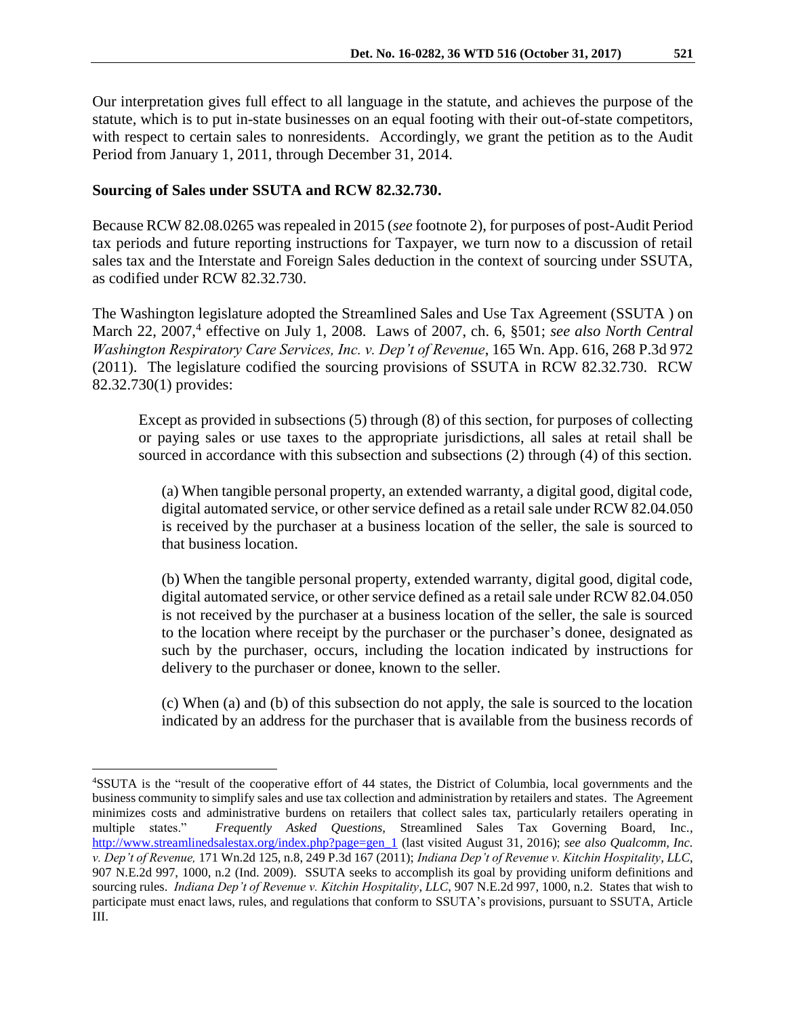Our interpretation gives full effect to all language in the statute, and achieves the purpose of the statute, which is to put in-state businesses on an equal footing with their out-of-state competitors, with respect to certain sales to nonresidents. Accordingly, we grant the petition as to the Audit Period from January 1, 2011, through December 31, 2014.

#### **Sourcing of Sales under SSUTA and RCW 82.32.730.**

 $\overline{a}$ 

Because RCW 82.08.0265 was repealed in 2015 (*see* footnote 2), for purposes of post-Audit Period tax periods and future reporting instructions for Taxpayer, we turn now to a discussion of retail sales tax and the Interstate and Foreign Sales deduction in the context of sourcing under SSUTA, as codified under RCW 82.32.730.

The Washington legislature adopted the Streamlined Sales and Use Tax Agreement (SSUTA ) on March 22, 2007,<sup>4</sup> effective on July 1, 2008. Laws of 2007, ch. 6, §501; *see also North Central Washington Respiratory Care Services, Inc. v. Dep't of Revenue*, 165 Wn. App. 616, 268 P.3d 972 (2011). The legislature codified the sourcing provisions of SSUTA in RCW 82.32.730. RCW 82.32.730(1) provides:

Except as provided in subsections (5) through (8) of this section, for purposes of collecting or paying sales or use taxes to the appropriate jurisdictions, all sales at retail shall be sourced in accordance with this subsection and subsections (2) through (4) of this section.

(a) When tangible personal property, an extended warranty, a digital good, digital code, digital automated service, or other service defined as a retail sale under RCW 82.04.050 is received by the purchaser at a business location of the seller, the sale is sourced to that business location.

(b) When the tangible personal property, extended warranty, digital good, digital code, digital automated service, or other service defined as a retail sale under RCW 82.04.050 is not received by the purchaser at a business location of the seller, the sale is sourced to the location where receipt by the purchaser or the purchaser's donee, designated as such by the purchaser, occurs, including the location indicated by instructions for delivery to the purchaser or donee, known to the seller.

(c) When (a) and (b) of this subsection do not apply, the sale is sourced to the location indicated by an address for the purchaser that is available from the business records of

<sup>4</sup>SSUTA is the "result of the cooperative effort of 44 states, the District of Columbia, local governments and the business community to simplify sales and use tax collection and administration by retailers and states. The Agreement minimizes costs and administrative burdens on retailers that collect sales tax, particularly retailers operating in multiple states." *Frequently Asked Questions,* Streamlined Sales Tax Governing Board, Inc., [http://www.streamlinedsalestax.org/index.php?page=gen\\_1](http://www.streamlinedsalestax.org/index.php?page=gen_1) (last visited August 31, 2016); *see also Qualcomm, Inc. v. Dep't of Revenue,* 171 Wn.2d 125, n.8, 249 P.3d 167 (2011); *Indiana Dep't of Revenue v. Kitchin Hospitality*, *LLC*, 907 N.E.2d 997, 1000, n.2 (Ind. 2009). SSUTA seeks to accomplish its goal by providing uniform definitions and sourcing rules. *Indiana Dep't of Revenue v. Kitchin Hospitality*, *LLC*, 907 N.E.2d 997, 1000, n.2.States that wish to participate must enact laws, rules, and regulations that conform to SSUTA's provisions, pursuant to SSUTA, Article III.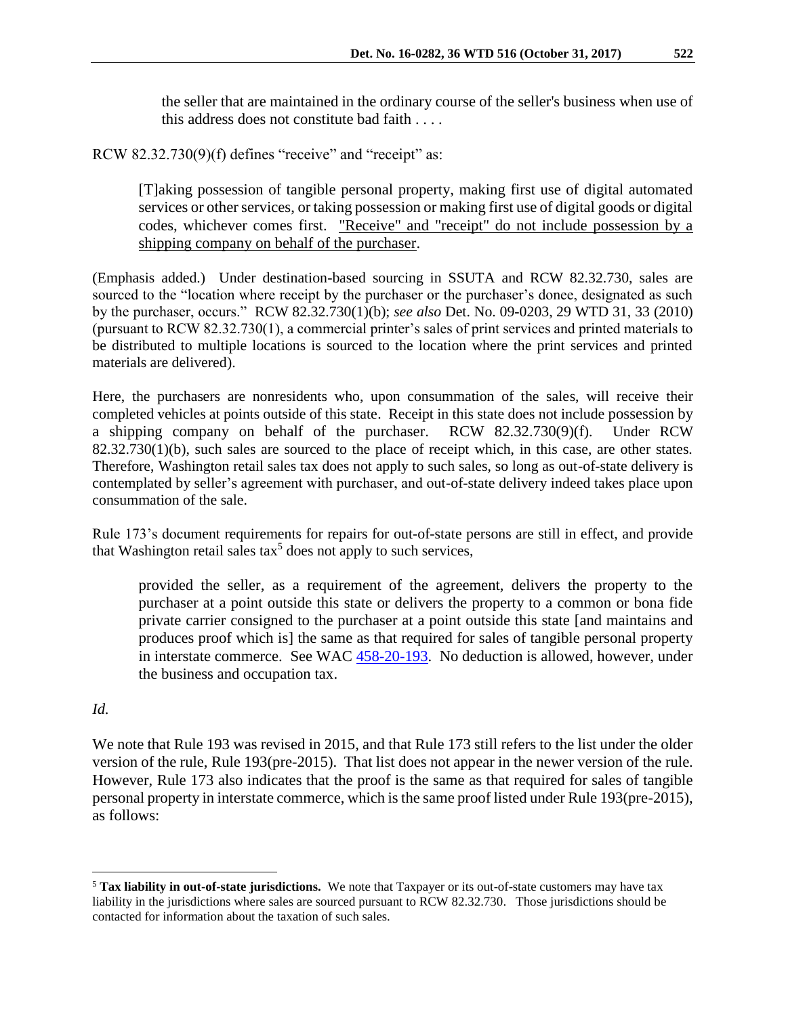the seller that are maintained in the ordinary course of the seller's business when use of this address does not constitute bad faith . . . .

RCW 82.32.730(9)(f) defines "receive" and "receipt" as:

[T]aking possession of tangible personal property, making first use of digital automated services or other services, or taking possession or making first use of digital goods or digital codes, whichever comes first. "Receive" and "receipt" do not include possession by a shipping company on behalf of the purchaser.

(Emphasis added.) Under destination-based sourcing in SSUTA and RCW 82.32.730, sales are sourced to the "location where receipt by the purchaser or the purchaser's donee, designated as such by the purchaser, occurs." RCW 82.32.730(1)(b); *see also* Det. No. 09-0203, 29 WTD 31, 33 (2010) (pursuant to RCW 82.32.730(1), a commercial printer's sales of print services and printed materials to be distributed to multiple locations is sourced to the location where the print services and printed materials are delivered).

Here, the purchasers are nonresidents who, upon consummation of the sales, will receive their completed vehicles at points outside of this state. Receipt in this state does not include possession by a shipping company on behalf of the purchaser. RCW 82.32.730(9)(f). Under RCW 82.32.730(1)(b), such sales are sourced to the place of receipt which, in this case, are other states. Therefore, Washington retail sales tax does not apply to such sales, so long as out-of-state delivery is contemplated by seller's agreement with purchaser, and out-of-state delivery indeed takes place upon consummation of the sale.

Rule 173's document requirements for repairs for out-of-state persons are still in effect, and provide that Washington retail sales tax<sup>5</sup> does not apply to such services,

provided the seller, as a requirement of the agreement, delivers the property to the purchaser at a point outside this state or delivers the property to a common or bona fide private carrier consigned to the purchaser at a point outside this state [and maintains and produces proof which is] the same as that required for sales of tangible personal property in interstate commerce. See WAC [458-20-193.](http://app.leg.wa.gov/wac/default.aspx?cite=458-20-193) No deduction is allowed, however, under the business and occupation tax.

## *Id.*

 $\overline{a}$ 

We note that Rule 193 was revised in 2015, and that Rule 173 still refers to the list under the older version of the rule, Rule 193(pre-2015). That list does not appear in the newer version of the rule. However, Rule 173 also indicates that the proof is the same as that required for sales of tangible personal property in interstate commerce, which is the same proof listed under Rule 193(pre-2015), as follows:

<sup>5</sup> **Tax liability in out-of-state jurisdictions.** We note that Taxpayer or its out-of-state customers may have tax liability in the jurisdictions where sales are sourced pursuant to RCW 82.32.730. Those jurisdictions should be contacted for information about the taxation of such sales.